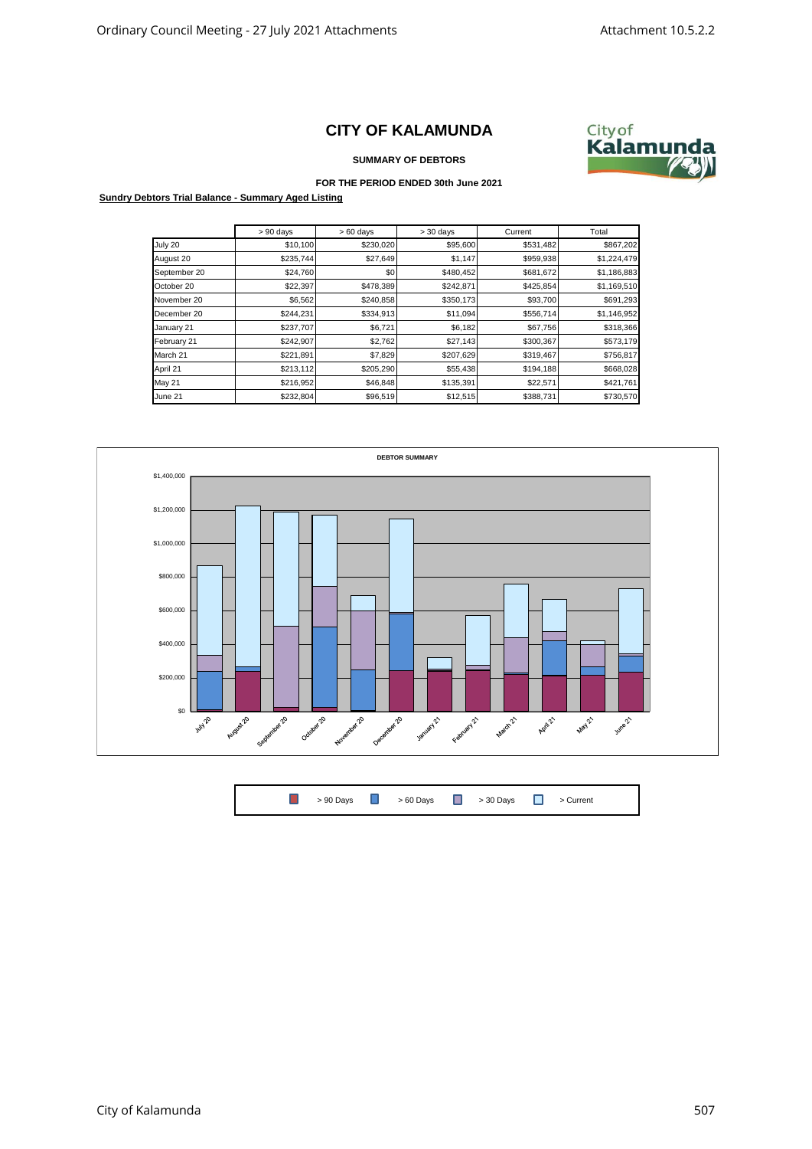## **CITY OF KALAMUNDA**



**SUMMARY OF DEBTORS**

## **FOR THE PERIOD ENDED 30th June 2021**

**Sundry Debtors Trial Balance - Summary Aged Listing**

|               | $> 90$ days | $>60$ days | $> 30$ days | Current   | Total       |
|---------------|-------------|------------|-------------|-----------|-------------|
| July 20       | \$10,100    | \$230,020  | \$95,600    | \$531,482 | \$867,202   |
| August 20     | \$235,744   | \$27,649   | \$1,147     | \$959,938 | \$1,224,479 |
| September 20  | \$24,760    | \$0        | \$480,452   | \$681,672 | \$1,186,883 |
| October 20    | \$22,397    | \$478,389  | \$242,871   | \$425,854 | \$1,169,510 |
| November 20   | \$6,562     | \$240,858  | \$350,173   | \$93,700  | \$691,293   |
| December 20   | \$244,231   | \$334,913  | \$11,094    | \$556,714 | \$1,146,952 |
| January 21    | \$237,707   | \$6,721    | \$6,182     | \$67,756  | \$318,366   |
| February 21   | \$242,907   | \$2,762    | \$27,143    | \$300,367 | \$573,179   |
| March 21      | \$221,891   | \$7,829    | \$207,629   | \$319,467 | \$756,817   |
| April 21      | \$213,112   | \$205,290  | \$55,438    | \$194,188 | \$668,028   |
| <b>May 21</b> | \$216,952   | \$46,848   | \$135,391   | \$22,571  | \$421,761   |
| June 21       | \$232,804   | \$96,519   | \$12,515    | \$388,731 | \$730,570   |